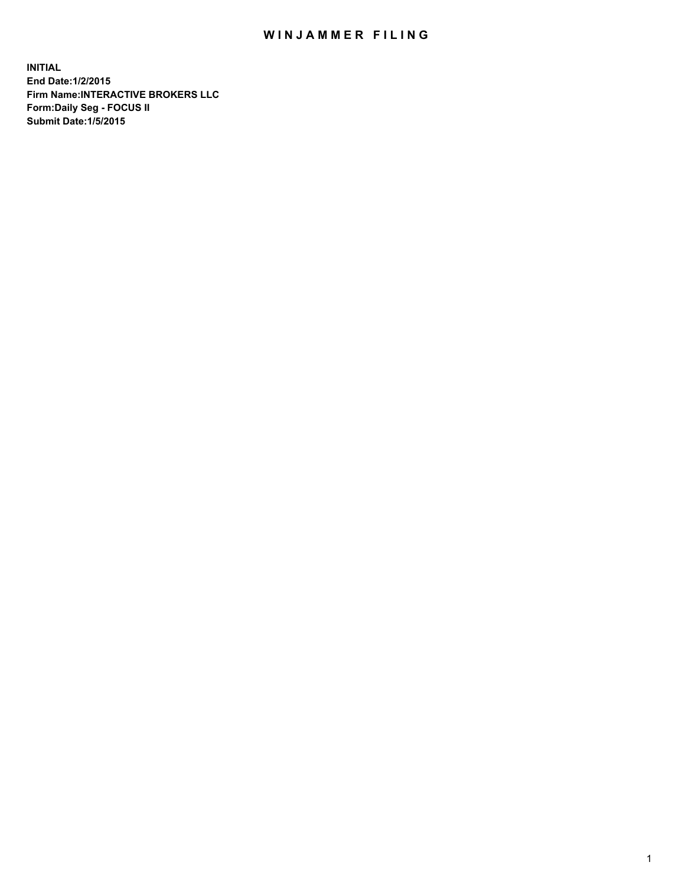## WIN JAMMER FILING

**INITIAL End Date:1/2/2015 Firm Name:INTERACTIVE BROKERS LLC Form:Daily Seg - FOCUS II Submit Date:1/5/2015**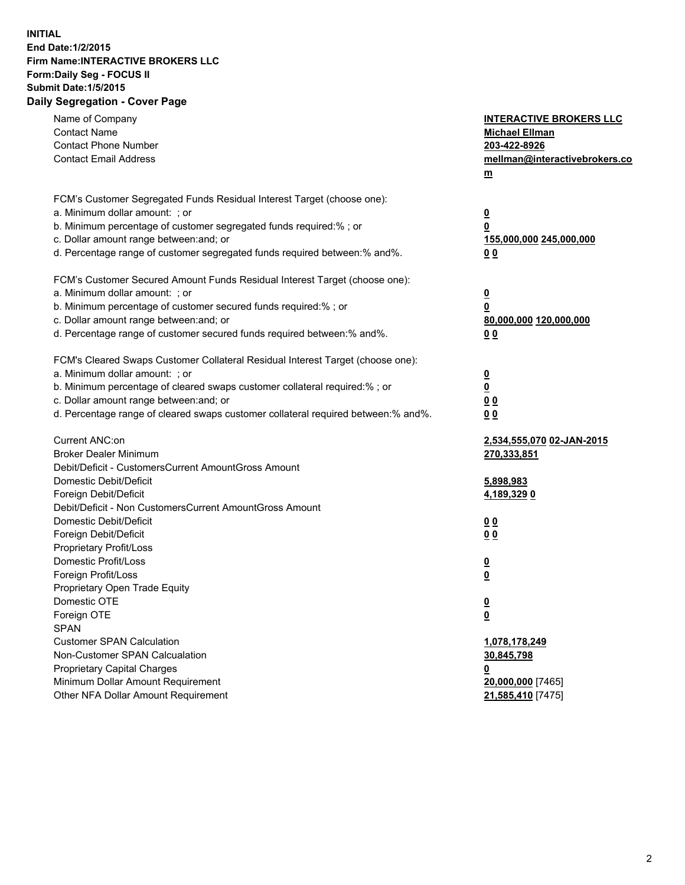## **INITIAL End Date:1/2/2015 Firm Name:INTERACTIVE BROKERS LLC Form:Daily Seg - FOCUS II Submit Date:1/5/2015 Daily Segregation - Cover Page**

| Name of Company                                                                   | <b>INTERACTIVE BROKERS LLC</b>                |
|-----------------------------------------------------------------------------------|-----------------------------------------------|
| <b>Contact Name</b><br><b>Contact Phone Number</b>                                | <b>Michael Ellman</b>                         |
| <b>Contact Email Address</b>                                                      | 203-422-8926<br>mellman@interactivebrokers.co |
|                                                                                   |                                               |
|                                                                                   | $\underline{\mathbf{m}}$                      |
| FCM's Customer Segregated Funds Residual Interest Target (choose one):            |                                               |
| a. Minimum dollar amount: ; or                                                    | $\overline{\mathbf{0}}$                       |
| b. Minimum percentage of customer segregated funds required:% ; or                | 0                                             |
| c. Dollar amount range between: and; or                                           | 155,000,000 245,000,000                       |
| d. Percentage range of customer segregated funds required between:% and%.         | 00                                            |
| FCM's Customer Secured Amount Funds Residual Interest Target (choose one):        |                                               |
| a. Minimum dollar amount: ; or                                                    | $\overline{\mathbf{0}}$                       |
| b. Minimum percentage of customer secured funds required:% ; or                   | 0                                             |
| c. Dollar amount range between: and; or                                           | 80,000,000 120,000,000                        |
| d. Percentage range of customer secured funds required between:% and%.            | 00                                            |
|                                                                                   |                                               |
| FCM's Cleared Swaps Customer Collateral Residual Interest Target (choose one):    |                                               |
| a. Minimum dollar amount: ; or                                                    | $\overline{\mathbf{0}}$                       |
| b. Minimum percentage of cleared swaps customer collateral required:% ; or        | $\overline{\mathbf{0}}$                       |
| c. Dollar amount range between: and; or                                           | 0 <sub>0</sub>                                |
| d. Percentage range of cleared swaps customer collateral required between:% and%. | 0 <sub>0</sub>                                |
|                                                                                   |                                               |
| Current ANC:on                                                                    | 2,534,555,070 02-JAN-2015                     |
| <b>Broker Dealer Minimum</b>                                                      | 270,333,851                                   |
| Debit/Deficit - CustomersCurrent AmountGross Amount                               |                                               |
| Domestic Debit/Deficit                                                            | 5,898,983                                     |
| Foreign Debit/Deficit                                                             | 4,189,329 0                                   |
| Debit/Deficit - Non CustomersCurrent AmountGross Amount                           |                                               |
| Domestic Debit/Deficit                                                            | 0 <sub>0</sub>                                |
| Foreign Debit/Deficit                                                             | 0 <sub>0</sub>                                |
| Proprietary Profit/Loss                                                           |                                               |
| Domestic Profit/Loss                                                              | $\overline{\mathbf{0}}$                       |
| Foreign Profit/Loss                                                               | $\underline{\mathbf{0}}$                      |
| Proprietary Open Trade Equity                                                     |                                               |
| Domestic OTE                                                                      | <u>0</u>                                      |
| Foreign OTE                                                                       | <u>0</u>                                      |
| <b>SPAN</b>                                                                       |                                               |
| <b>Customer SPAN Calculation</b>                                                  | 1,078,178,249                                 |
| Non-Customer SPAN Calcualation                                                    | 30,845,798                                    |
| Proprietary Capital Charges                                                       | <u>0</u>                                      |
| Minimum Dollar Amount Requirement                                                 | 20,000,000 [7465]                             |
| Other NFA Dollar Amount Requirement                                               | 21,585,410 [7475]                             |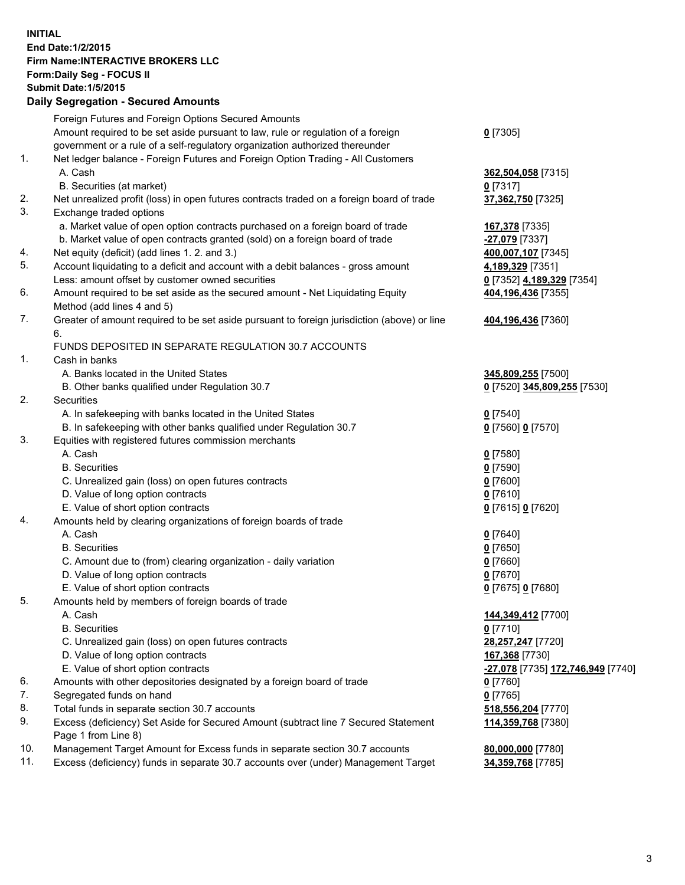## **INITIAL End Date:1/2/2015 Firm Name:INTERACTIVE BROKERS LLC Form:Daily Seg - FOCUS II Submit Date:1/5/2015 Daily Segregation - Secured Amounts**

|     | Foreign Futures and Foreign Options Secured Amounts                                                        |                                   |
|-----|------------------------------------------------------------------------------------------------------------|-----------------------------------|
|     | Amount required to be set aside pursuant to law, rule or regulation of a foreign                           | $0$ [7305]                        |
|     | government or a rule of a self-regulatory organization authorized thereunder                               |                                   |
| 1.  | Net ledger balance - Foreign Futures and Foreign Option Trading - All Customers                            |                                   |
|     | A. Cash                                                                                                    | 362,504,058 [7315]                |
|     | B. Securities (at market)                                                                                  | $0$ [7317]                        |
| 2.  | Net unrealized profit (loss) in open futures contracts traded on a foreign board of trade                  | 37,362,750 [7325]                 |
| 3.  | Exchange traded options                                                                                    |                                   |
|     | a. Market value of open option contracts purchased on a foreign board of trade                             | 167,378 [7335]                    |
|     | b. Market value of open contracts granted (sold) on a foreign board of trade                               | <mark>-27,079</mark> [7337]       |
| 4.  | Net equity (deficit) (add lines 1.2. and 3.)                                                               | 400,007,107 [7345]                |
| 5.  | Account liquidating to a deficit and account with a debit balances - gross amount                          | 4,189,329 [7351]                  |
|     | Less: amount offset by customer owned securities                                                           | 0 [7352] 4,189,329 [7354]         |
| 6.  | Amount required to be set aside as the secured amount - Net Liquidating Equity                             | 404,196,436 [7355]                |
|     | Method (add lines 4 and 5)                                                                                 |                                   |
| 7.  | Greater of amount required to be set aside pursuant to foreign jurisdiction (above) or line                | 404,196,436 [7360]                |
|     | 6.                                                                                                         |                                   |
|     | FUNDS DEPOSITED IN SEPARATE REGULATION 30.7 ACCOUNTS                                                       |                                   |
| 1.  | Cash in banks                                                                                              |                                   |
|     | A. Banks located in the United States                                                                      | 345,809,255 [7500]                |
|     | B. Other banks qualified under Regulation 30.7                                                             | 0 [7520] 345,809,255 [7530]       |
| 2.  | Securities                                                                                                 |                                   |
|     | A. In safekeeping with banks located in the United States                                                  | $0$ [7540]                        |
|     | B. In safekeeping with other banks qualified under Regulation 30.7                                         | 0 [7560] 0 [7570]                 |
| 3.  | Equities with registered futures commission merchants                                                      |                                   |
|     | A. Cash                                                                                                    | $0$ [7580]                        |
|     | <b>B.</b> Securities                                                                                       | $0$ [7590]                        |
|     | C. Unrealized gain (loss) on open futures contracts                                                        | $0$ [7600]                        |
|     | D. Value of long option contracts                                                                          | $0$ [7610]                        |
|     | E. Value of short option contracts                                                                         | 0 [7615] 0 [7620]                 |
| 4.  | Amounts held by clearing organizations of foreign boards of trade                                          |                                   |
|     | A. Cash                                                                                                    | $Q$ [7640]                        |
|     | <b>B.</b> Securities                                                                                       | $0$ [7650]                        |
|     | C. Amount due to (from) clearing organization - daily variation                                            | $0$ [7660]                        |
|     | D. Value of long option contracts                                                                          | $0$ [7670]                        |
|     | E. Value of short option contracts                                                                         | 0 [7675] 0 [7680]                 |
| 5.  | Amounts held by members of foreign boards of trade                                                         |                                   |
|     | A. Cash                                                                                                    | 144,349,412 [7700]                |
|     | <b>B.</b> Securities                                                                                       | $0$ [7710]                        |
|     | C. Unrealized gain (loss) on open futures contracts                                                        | 28,257,247 [7720]                 |
|     | D. Value of long option contracts                                                                          | 167,368 [7730]                    |
|     | E. Value of short option contracts                                                                         | -27,078 [7735] 172,746,949 [7740] |
| 6.  | Amounts with other depositories designated by a foreign board of trade                                     | $0$ [7760]                        |
| 7.  | Segregated funds on hand                                                                                   | $0$ [7765]                        |
| 8.  | Total funds in separate section 30.7 accounts                                                              | 518,556,204 [7770]                |
| 9.  | Excess (deficiency) Set Aside for Secured Amount (subtract line 7 Secured Statement<br>Page 1 from Line 8) | 114,359,768 [7380]                |
| 10. | Management Target Amount for Excess funds in separate section 30.7 accounts                                | 80,000,000 [7780]                 |
| 11. | Excess (deficiency) funds in separate 30.7 accounts over (under) Management Target                         | 34,359,768 [7785]                 |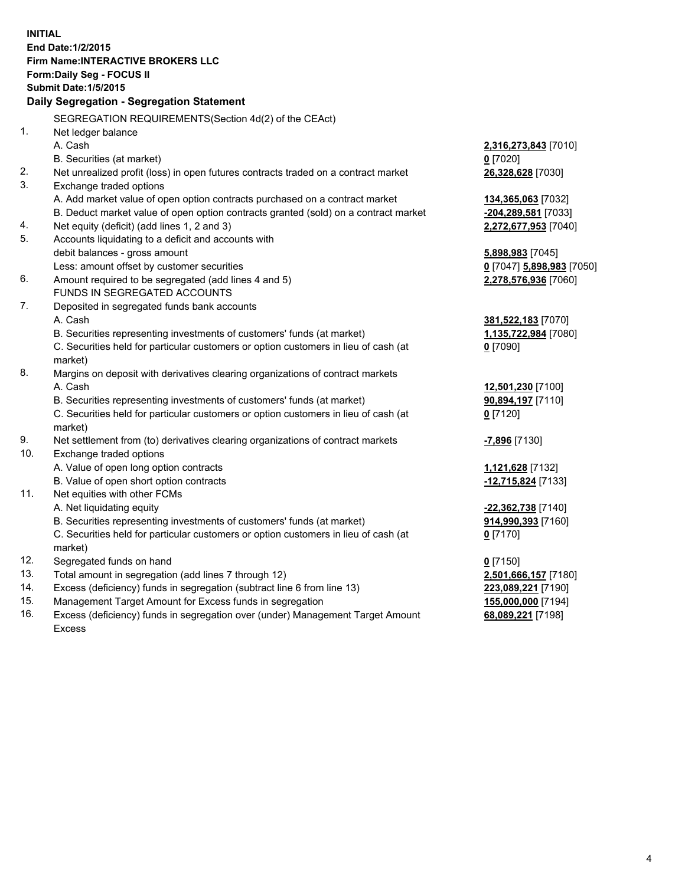**INITIAL End Date:1/2/2015 Firm Name:INTERACTIVE BROKERS LLC Form:Daily Seg - FOCUS II Submit Date:1/5/2015 Daily Segregation - Segregation Statement** SEGREGATION REQUIREMENTS(Section 4d(2) of the CEAct) 1. Net ledger balance A. Cash **2,316,273,843** [7010] B. Securities (at market) **0** [7020] 2. Net unrealized profit (loss) in open futures contracts traded on a contract market **26,328,628** [7030] 3. Exchange traded options A. Add market value of open option contracts purchased on a contract market **134,365,063** [7032] B. Deduct market value of open option contracts granted (sold) on a contract market **-204,289,581** [7033] 4. Net equity (deficit) (add lines 1, 2 and 3) **2,272,677,953** [7040] 5. Accounts liquidating to a deficit and accounts with debit balances - gross amount **5,898,983** [7045] Less: amount offset by customer securities **0** [7047] **5,898,983** [7050] 6. Amount required to be segregated (add lines 4 and 5) **2,278,576,936** [7060] FUNDS IN SEGREGATED ACCOUNTS 7. Deposited in segregated funds bank accounts A. Cash **381,522,183** [7070] B. Securities representing investments of customers' funds (at market) **1,135,722,984** [7080] C. Securities held for particular customers or option customers in lieu of cash (at market) **0** [7090] 8. Margins on deposit with derivatives clearing organizations of contract markets A. Cash **12,501,230** [7100] B. Securities representing investments of customers' funds (at market) **90,894,197** [7110] C. Securities held for particular customers or option customers in lieu of cash (at market) **0** [7120] 9. Net settlement from (to) derivatives clearing organizations of contract markets **-7,896** [7130] 10. Exchange traded options A. Value of open long option contracts **1,121,628** [7132] B. Value of open short option contracts **-12,715,824** [7133] 11. Net equities with other FCMs A. Net liquidating equity **-22,362,738** [7140] B. Securities representing investments of customers' funds (at market) **914,990,393** [7160] C. Securities held for particular customers or option customers in lieu of cash (at market) **0** [7170] 12. Segregated funds on hand **0** [7150] 13. Total amount in segregation (add lines 7 through 12) **2,501,666,157** [7180] 14. Excess (deficiency) funds in segregation (subtract line 6 from line 13) **223,089,221** [7190] 15. Management Target Amount for Excess funds in segregation **155,000,000** [7194] **68,089,221** [7198]

16. Excess (deficiency) funds in segregation over (under) Management Target Amount Excess

4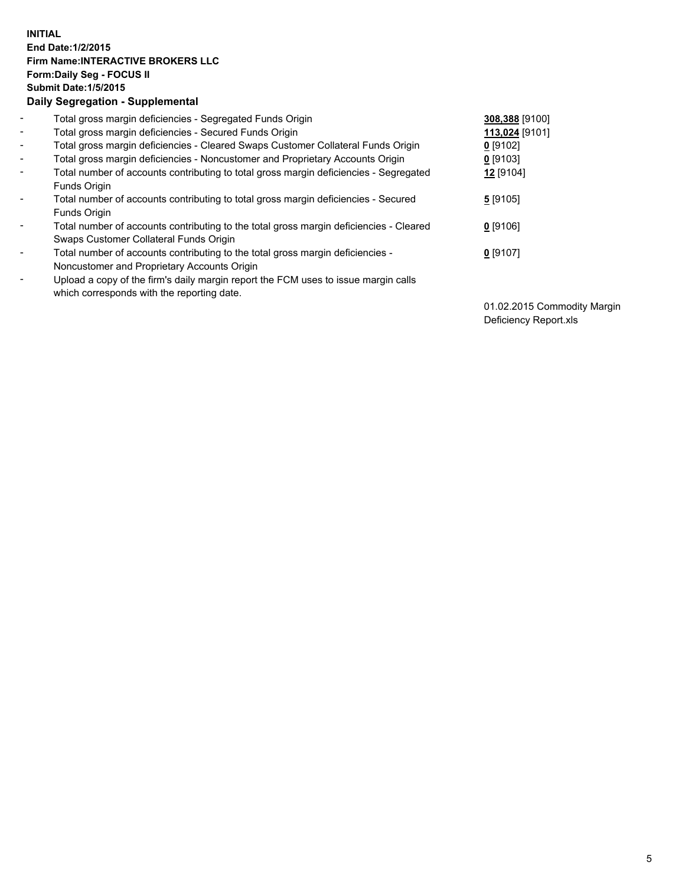## **INITIAL End Date:1/2/2015 Firm Name:INTERACTIVE BROKERS LLC Form:Daily Seg - FOCUS II Submit Date:1/5/2015 Daily Segregation - Supplemental**

| $\blacksquare$ | Total gross margin deficiencies - Segregated Funds Origin                              | 308,388 [9100] |
|----------------|----------------------------------------------------------------------------------------|----------------|
| $\sim$         | Total gross margin deficiencies - Secured Funds Origin                                 | 113,024 [9101] |
| $\blacksquare$ | Total gross margin deficiencies - Cleared Swaps Customer Collateral Funds Origin       | $0$ [9102]     |
| $\blacksquare$ | Total gross margin deficiencies - Noncustomer and Proprietary Accounts Origin          | $0$ [9103]     |
| $\blacksquare$ | Total number of accounts contributing to total gross margin deficiencies - Segregated  | 12 [9104]      |
|                | Funds Origin                                                                           |                |
| $\blacksquare$ | Total number of accounts contributing to total gross margin deficiencies - Secured     | 5[9105]        |
|                | Funds Origin                                                                           |                |
| $\blacksquare$ | Total number of accounts contributing to the total gross margin deficiencies - Cleared | 0 [9106]       |
|                | Swaps Customer Collateral Funds Origin                                                 |                |
| $\blacksquare$ | Total number of accounts contributing to the total gross margin deficiencies -         | $0$ [9107]     |
|                | Noncustomer and Proprietary Accounts Origin                                            |                |
| ۰              | Upload a copy of the firm's daily margin report the FCM uses to issue margin calls     |                |
|                | which corresponds with the reporting date.                                             |                |

01.02.2015 Commodity Margin Deficiency Report.xls